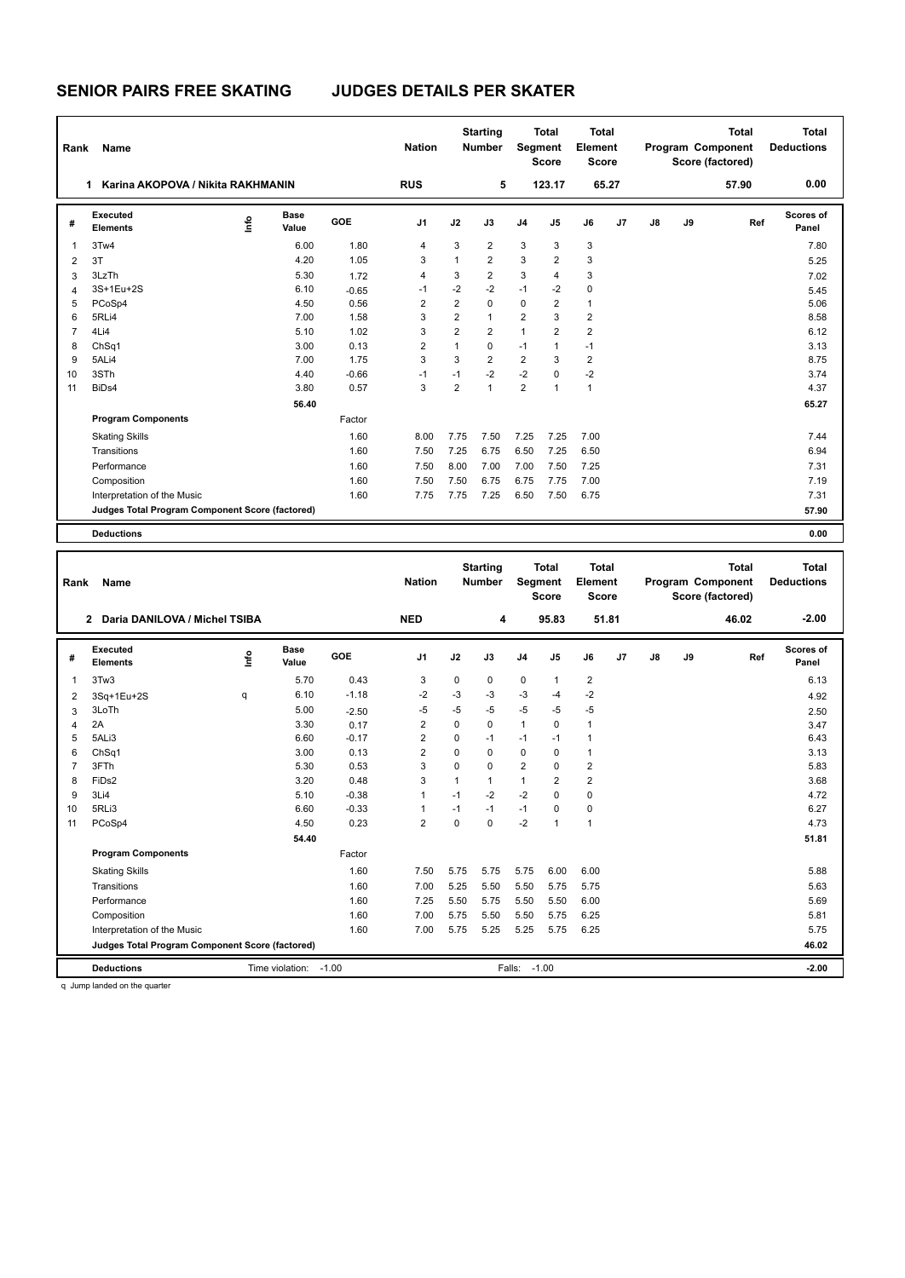## **SENIOR PAIRS FREE SKATING JUDGES DETAILS PER SKATER**

| Rank | Name                                            |      |                      |         | <b>Nation</b>  |                | <b>Starting</b><br><b>Number</b> |                | <b>Total</b><br>Segment<br><b>Score</b> | <b>Total</b><br>Element<br><b>Score</b> |       |    |    | <b>Total</b><br>Program Component<br>Score (factored) | <b>Total</b><br><b>Deductions</b> |
|------|-------------------------------------------------|------|----------------------|---------|----------------|----------------|----------------------------------|----------------|-----------------------------------------|-----------------------------------------|-------|----|----|-------------------------------------------------------|-----------------------------------|
|      | Karina AKOPOVA / Nikita RAKHMANIN               |      |                      |         | <b>RUS</b>     |                | 5                                |                | 123.17                                  |                                         | 65.27 |    |    | 57.90                                                 | 0.00                              |
| #    | Executed<br><b>Elements</b>                     | lnfo | <b>Base</b><br>Value | GOE     | J1             | J2             | J3                               | J <sub>4</sub> | J <sub>5</sub>                          | J6                                      | J7    | J8 | J9 | Ref                                                   | Scores of<br>Panel                |
| 1    | 3Tw4                                            |      | 6.00                 | 1.80    | 4              | 3              | $\overline{2}$                   | 3              | 3                                       | 3                                       |       |    |    |                                                       | 7.80                              |
| 2    | 3T                                              |      | 4.20                 | 1.05    | 3              | 1              | $\overline{2}$                   | 3              | $\overline{2}$                          | 3                                       |       |    |    |                                                       | 5.25                              |
| 3    | 3LzTh                                           |      | 5.30                 | 1.72    | 4              | 3              | $\overline{2}$                   | 3              | $\overline{4}$                          | 3                                       |       |    |    |                                                       | 7.02                              |
| 4    | 3S+1Eu+2S                                       |      | 6.10                 | $-0.65$ | $-1$           | $-2$           | $-2$                             | $-1$           | $-2$                                    | 0                                       |       |    |    |                                                       | 5.45                              |
| 5    | PCoSp4                                          |      | 4.50                 | 0.56    | $\overline{2}$ | $\overline{2}$ | $\Omega$                         | 0              | $\overline{2}$                          | $\mathbf{1}$                            |       |    |    |                                                       | 5.06                              |
| 6    | 5RLi4                                           |      | 7.00                 | 1.58    | 3              | $\overline{2}$ | $\mathbf{1}$                     | 2              | 3                                       | $\overline{2}$                          |       |    |    |                                                       | 8.58                              |
| 7    | 4Li4                                            |      | 5.10                 | 1.02    | 3              | $\overline{2}$ | $\overline{2}$                   | $\mathbf{1}$   | $\overline{2}$                          | $\overline{2}$                          |       |    |    |                                                       | 6.12                              |
| 8    | ChSq1                                           |      | 3.00                 | 0.13    | 2              | 1              | 0                                | $-1$           | $\mathbf{1}$                            | $-1$                                    |       |    |    |                                                       | 3.13                              |
| 9    | 5ALi4                                           |      | 7.00                 | 1.75    | 3              | 3              | $\overline{2}$                   | $\overline{2}$ | 3                                       | $\overline{2}$                          |       |    |    |                                                       | 8.75                              |
| 10   | 3STh                                            |      | 4.40                 | $-0.66$ | $-1$           | $-1$           | $-2$                             | $-2$           | 0                                       | $-2$                                    |       |    |    |                                                       | 3.74                              |
| 11   | BiDs4                                           |      | 3.80                 | 0.57    | 3              | $\overline{2}$ | 1                                | $\overline{2}$ | $\mathbf{1}$                            | $\mathbf{1}$                            |       |    |    |                                                       | 4.37                              |
|      |                                                 |      | 56.40                |         |                |                |                                  |                |                                         |                                         |       |    |    |                                                       | 65.27                             |
|      | <b>Program Components</b>                       |      |                      | Factor  |                |                |                                  |                |                                         |                                         |       |    |    |                                                       |                                   |
|      | <b>Skating Skills</b>                           |      |                      | 1.60    | 8.00           | 7.75           | 7.50                             | 7.25           | 7.25                                    | 7.00                                    |       |    |    |                                                       | 7.44                              |
|      | Transitions                                     |      |                      | 1.60    | 7.50           | 7.25           | 6.75                             | 6.50           | 7.25                                    | 6.50                                    |       |    |    |                                                       | 6.94                              |
|      | Performance                                     |      |                      | 1.60    | 7.50           | 8.00           | 7.00                             | 7.00           | 7.50                                    | 7.25                                    |       |    |    |                                                       | 7.31                              |
|      | Composition                                     |      |                      | 1.60    | 7.50           | 7.50           | 6.75                             | 6.75           | 7.75                                    | 7.00                                    |       |    |    |                                                       | 7.19                              |
|      | Interpretation of the Music                     |      |                      | 1.60    | 7.75           | 7.75           | 7.25                             | 6.50           | 7.50                                    | 6.75                                    |       |    |    |                                                       | 7.31                              |
|      | Judges Total Program Component Score (factored) |      |                      |         |                |                |                                  |                |                                         |                                         |       |    |    |                                                       | 57.90                             |
|      | <b>Deductions</b>                               |      |                      |         |                |                |                                  |                |                                         |                                         |       |    |    |                                                       | 0.00                              |

| Rank           | <b>Name</b>                                     |      |               |         | <b>Nation</b>  |              | <b>Starting</b><br><b>Number</b> | <b>Segment</b> | <b>Total</b><br><b>Score</b> | <b>Total</b><br>Element<br>Score |       |               |    | <b>Total</b><br>Program Component<br>Score (factored) | <b>Total</b><br><b>Deductions</b> |
|----------------|-------------------------------------------------|------|---------------|---------|----------------|--------------|----------------------------------|----------------|------------------------------|----------------------------------|-------|---------------|----|-------------------------------------------------------|-----------------------------------|
|                | Daria DANILOVA / Michel TSIBA<br>$\mathbf{2}$   |      |               |         | <b>NED</b>     |              | 4                                |                | 95.83                        |                                  | 51.81 |               |    | 46.02                                                 | $-2.00$                           |
| #              | Executed<br><b>Elements</b>                     | lnfo | Base<br>Value | GOE     | J <sub>1</sub> | J2           | J3                               | J <sub>4</sub> | J5                           | J6                               | J7    | $\mathsf{J}8$ | J9 | Ref                                                   | Scores of<br>Panel                |
| $\overline{1}$ | 3Tw3                                            |      | 5.70          | 0.43    | 3              | 0            | 0                                | $\pmb{0}$      | $\mathbf{1}$                 | 2                                |       |               |    |                                                       | 6.13                              |
| $\overline{2}$ | 3Sq+1Eu+2S                                      | q    | 6.10          | $-1.18$ | $-2$           | $-3$         | $-3$                             | $-3$           | $-4$                         | $-2$                             |       |               |    |                                                       | 4.92                              |
| 3              | 3LoTh                                           |      | 5.00          | $-2.50$ | $-5$           | $-5$         | -5                               | $-5$           | $-5$                         | $-5$                             |       |               |    |                                                       | 2.50                              |
| 4              | 2A                                              |      | 3.30          | 0.17    | 2              | $\Omega$     | $\Omega$                         | $\mathbf{1}$   | $\Omega$                     | $\mathbf{1}$                     |       |               |    |                                                       | 3.47                              |
| 5              | 5ALi3                                           |      | 6.60          | $-0.17$ | $\overline{2}$ | $\Omega$     | $-1$                             | $-1$           | $-1$                         | $\mathbf{1}$                     |       |               |    |                                                       | 6.43                              |
| 6              | ChSq1                                           |      | 3.00          | 0.13    | $\overline{2}$ | $\Omega$     | $\Omega$                         | 0              | $\Omega$                     | $\mathbf{1}$                     |       |               |    |                                                       | 3.13                              |
| $\overline{7}$ | 3FTh                                            |      | 5.30          | 0.53    | 3              | $\Omega$     | $\Omega$                         | $\overline{2}$ | $\mathbf 0$                  | $\overline{2}$                   |       |               |    |                                                       | 5.83                              |
| 8              | FiD <sub>s2</sub>                               |      | 3.20          | 0.48    | 3              | $\mathbf{1}$ | 1                                | $\mathbf{1}$   | $\overline{2}$               | $\overline{2}$                   |       |               |    |                                                       | 3.68                              |
| 9              | 3Li4                                            |      | 5.10          | $-0.38$ | $\overline{1}$ | $-1$         | $-2$                             | $-2$           | $\mathbf 0$                  | $\mathbf 0$                      |       |               |    |                                                       | 4.72                              |
| 10             | 5RLi3                                           |      | 6.60          | $-0.33$ | -1             | $-1$         | $-1$                             | $-1$           | $\mathbf 0$                  | $\mathbf 0$                      |       |               |    |                                                       | 6.27                              |
| 11             | PCoSp4                                          |      | 4.50          | 0.23    | $\overline{2}$ | $\Omega$     | $\Omega$                         | $-2$           | $\overline{1}$               | $\mathbf{1}$                     |       |               |    |                                                       | 4.73                              |
|                |                                                 |      | 54.40         |         |                |              |                                  |                |                              |                                  |       |               |    |                                                       | 51.81                             |
|                | <b>Program Components</b>                       |      |               | Factor  |                |              |                                  |                |                              |                                  |       |               |    |                                                       |                                   |
|                | <b>Skating Skills</b>                           |      |               | 1.60    | 7.50           | 5.75         | 5.75                             | 5.75           | 6.00                         | 6.00                             |       |               |    |                                                       | 5.88                              |
|                | Transitions                                     |      |               | 1.60    | 7.00           | 5.25         | 5.50                             | 5.50           | 5.75                         | 5.75                             |       |               |    |                                                       | 5.63                              |
|                | Performance                                     |      |               | 1.60    | 7.25           | 5.50         | 5.75                             | 5.50           | 5.50                         | 6.00                             |       |               |    |                                                       | 5.69                              |
|                | Composition                                     |      |               | 1.60    | 7.00           | 5.75         | 5.50                             | 5.50           | 5.75                         | 6.25                             |       |               |    |                                                       | 5.81                              |
|                | Interpretation of the Music                     |      |               | 1.60    | 7.00           | 5.75         | 5.25                             | 5.25           | 5.75                         | 6.25                             |       |               |    |                                                       | 5.75                              |
|                | Judges Total Program Component Score (factored) |      |               |         |                |              |                                  |                |                              |                                  |       |               |    |                                                       | 46.02                             |
|                | <b>Deductions</b>                               |      |               |         | Falls:         | $-1.00$      |                                  |                |                              |                                  |       | $-2.00$       |    |                                                       |                                   |

q Jump landed on the quarter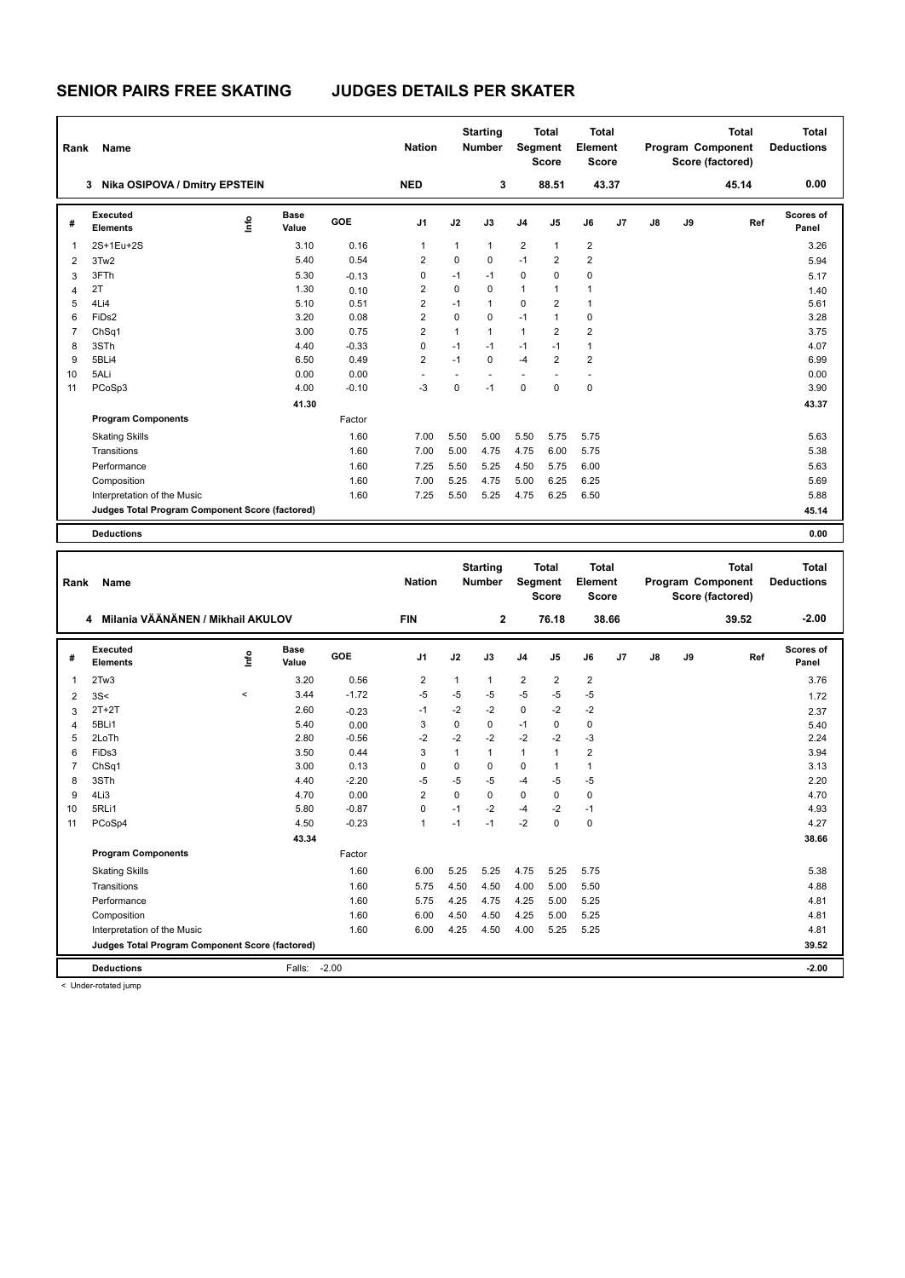## **SENIOR PAIRS FREE SKATING JUDGES DETAILS PER SKATER**

| Rank           | Name                                            |      |               |         | <b>Nation</b>  |              | <b>Starting</b><br><b>Number</b> |                      | <b>Total</b><br><b>Segment</b><br><b>Score</b> | <b>Total</b><br>Element<br><b>Score</b> |       |               |    | <b>Total</b><br>Program Component<br>Score (factored) | <b>Total</b><br><b>Deductions</b> |
|----------------|-------------------------------------------------|------|---------------|---------|----------------|--------------|----------------------------------|----------------------|------------------------------------------------|-----------------------------------------|-------|---------------|----|-------------------------------------------------------|-----------------------------------|
|                | Nika OSIPOVA / Dmitry EPSTEIN<br>3.             |      |               |         | <b>NED</b>     |              | 3                                |                      | 88.51                                          |                                         | 43.37 |               |    | 45.14                                                 | 0.00                              |
| #              | Executed<br><b>Elements</b>                     | lnfo | Base<br>Value | GOE     | J1             | J2           | J3                               | J <sub>4</sub>       | J <sub>5</sub>                                 | J6                                      | J7    | $\mathsf{J}8$ | J9 | Ref                                                   | Scores of<br>Panel                |
| -1             | 2S+1Eu+2S                                       |      | 3.10          | 0.16    |                | 1            | $\mathbf{1}$                     | $\overline{2}$       | $\mathbf{1}$                                   | $\overline{2}$                          |       |               |    |                                                       | 3.26                              |
| $\overline{2}$ | 3Tw2                                            |      | 5.40          | 0.54    | 2              | $\mathbf 0$  | $\mathbf 0$                      | $-1$                 | $\overline{2}$                                 | $\overline{2}$                          |       |               |    |                                                       | 5.94                              |
| 3              | 3FTh                                            |      | 5.30          | $-0.13$ | 0              | $-1$         | -1                               | 0                    | 0                                              | $\mathbf 0$                             |       |               |    |                                                       | 5.17                              |
| $\overline{4}$ | 2T                                              |      | 1.30          | 0.10    | 2              | $\mathbf 0$  | $\Omega$                         | $\mathbf{1}$         | $\mathbf{1}$                                   | $\mathbf{1}$                            |       |               |    |                                                       | 1.40                              |
| 5              | 4Li4                                            |      | 5.10          | 0.51    | $\overline{2}$ | $-1$         | $\mathbf{1}$                     | 0                    | $\overline{2}$                                 | $\mathbf{1}$                            |       |               |    |                                                       | 5.61                              |
| 6              | FiDs2                                           |      | 3.20          | 0.08    | 2              | $\mathbf 0$  | 0                                | $-1$                 | $\mathbf{1}$                                   | 0                                       |       |               |    |                                                       | 3.28                              |
| $\overline{7}$ | Ch <sub>Sq1</sub>                               |      | 3.00          | 0.75    | $\overline{2}$ | $\mathbf{1}$ | $\mathbf{1}$                     | $\mathbf{1}$         | $\overline{2}$                                 | $\overline{2}$                          |       |               |    |                                                       | 3.75                              |
| 8              | 3STh                                            |      | 4.40          | $-0.33$ | $\Omega$       | $-1$         | $-1$                             | $-1$                 | $-1$                                           | $\mathbf{1}$                            |       |               |    |                                                       | 4.07                              |
| 9              | 5BLi4                                           |      | 6.50          | 0.49    | $\overline{2}$ | $-1$         | $\mathbf 0$                      | $-4$                 | $\overline{2}$                                 | $\overline{2}$                          |       |               |    |                                                       | 6.99                              |
| 10             | 5ALi                                            |      | 0.00          | 0.00    |                |              |                                  | $\ddot{\phantom{1}}$ |                                                |                                         |       |               |    |                                                       | 0.00                              |
| 11             | PCoSp3                                          |      | 4.00          | $-0.10$ | $-3$           | $\mathbf 0$  | $-1$                             | 0                    | $\mathbf 0$                                    | $\mathbf 0$                             |       |               |    |                                                       | 3.90                              |
|                |                                                 |      | 41.30         |         |                |              |                                  |                      |                                                |                                         |       |               |    |                                                       | 43.37                             |
|                | <b>Program Components</b>                       |      |               | Factor  |                |              |                                  |                      |                                                |                                         |       |               |    |                                                       |                                   |
|                | <b>Skating Skills</b>                           |      |               | 1.60    | 7.00           | 5.50         | 5.00                             | 5.50                 | 5.75                                           | 5.75                                    |       |               |    |                                                       | 5.63                              |
|                | Transitions                                     |      |               | 1.60    | 7.00           | 5.00         | 4.75                             | 4.75                 | 6.00                                           | 5.75                                    |       |               |    |                                                       | 5.38                              |
|                | Performance                                     |      |               | 1.60    | 7.25           | 5.50         | 5.25                             | 4.50                 | 5.75                                           | 6.00                                    |       |               |    |                                                       | 5.63                              |
|                | Composition                                     |      |               | 1.60    | 7.00           | 5.25         | 4.75                             | 5.00                 | 6.25                                           | 6.25                                    |       |               |    |                                                       | 5.69                              |
|                | Interpretation of the Music                     |      |               | 1.60    | 7.25           | 5.50         | 5.25                             | 4.75                 | 6.25                                           | 6.50                                    |       |               |    |                                                       | 5.88                              |
|                | Judges Total Program Component Score (factored) |      |               |         |                |              |                                  |                      |                                                |                                         |       |               |    |                                                       | 45.14                             |
|                | <b>Deductions</b>                               |      |               |         |                |              |                                  |                      |                                                |                                         |       |               |    |                                                       | 0.00                              |
|                |                                                 |      |               |         |                |              |                                  |                      |                                                |                                         |       |               |    |                                                       |                                   |

| Rank           | <b>Name</b>                                     |         |                      |         | <b>Nation</b>  |              | <b>Starting</b><br><b>Number</b> | Segment        | <b>Total</b><br><b>Score</b> | <b>Total</b><br>Element<br><b>Score</b> |                |               |    | <b>Total</b><br>Program Component<br>Score (factored) | <b>Total</b><br><b>Deductions</b> |
|----------------|-------------------------------------------------|---------|----------------------|---------|----------------|--------------|----------------------------------|----------------|------------------------------|-----------------------------------------|----------------|---------------|----|-------------------------------------------------------|-----------------------------------|
|                | Milania VÄÄNÄNEN / Mikhail AKULOV<br>4          |         |                      |         | <b>FIN</b>     |              | 2                                |                | 76.18                        |                                         | 38.66          |               |    | 39.52                                                 | $-2.00$                           |
| #              | Executed<br><b>Elements</b>                     | ١nfo    | <b>Base</b><br>Value | GOE     | J <sub>1</sub> | J2           | J3                               | J4             | J5                           | J6                                      | J <sub>7</sub> | $\mathsf{J}8$ | J9 | Ref                                                   | Scores of<br>Panel                |
| $\overline{1}$ | 2Tw3                                            |         | 3.20                 | 0.56    | $\overline{2}$ | $\mathbf{1}$ | $\mathbf{1}$                     | $\overline{2}$ | $\overline{2}$               | $\overline{2}$                          |                |               |    |                                                       | 3.76                              |
| $\overline{2}$ | 3S<                                             | $\prec$ | 3.44                 | $-1.72$ | $-5$           | $-5$         | -5                               | $-5$           | $-5$                         | $-5$                                    |                |               |    |                                                       | 1.72                              |
| 3              | $2T+2T$                                         |         | 2.60                 | $-0.23$ | -1             | $-2$         | $-2$                             | $\mathbf 0$    | $-2$                         | $-2$                                    |                |               |    |                                                       | 2.37                              |
| $\overline{4}$ | 5BLi1                                           |         | 5.40                 | 0.00    | 3              | $\Omega$     | $\Omega$                         | $-1$           | $\Omega$                     | $\mathbf 0$                             |                |               |    |                                                       | 5.40                              |
| 5              | 2LoTh                                           |         | 2.80                 | $-0.56$ | $-2$           | $-2$         | $-2$                             | $-2$           | $-2$                         | $-3$                                    |                |               |    |                                                       | 2.24                              |
| 6              | FiDs3                                           |         | 3.50                 | 0.44    | 3              | 1            | $\mathbf{1}$                     | 1              | $\overline{1}$               | $\overline{2}$                          |                |               |    |                                                       | 3.94                              |
| $\overline{7}$ | ChSq1                                           |         | 3.00                 | 0.13    | $\Omega$       | 0            | $\Omega$                         | $\mathbf 0$    | 1                            | $\mathbf{1}$                            |                |               |    |                                                       | 3.13                              |
| 8              | 3STh                                            |         | 4.40                 | $-2.20$ | $-5$           | $-5$         | -5                               | $-4$           | $-5$                         | $-5$                                    |                |               |    |                                                       | 2.20                              |
| 9              | 4Li3                                            |         | 4.70                 | 0.00    | $\overline{2}$ | $\mathbf 0$  | $\mathbf 0$                      | $\pmb{0}$      | $\mathbf 0$                  | $\mathbf 0$                             |                |               |    |                                                       | 4.70                              |
| 10             | 5RLi1                                           |         | 5.80                 | $-0.87$ | $\mathbf 0$    | $-1$         | $-2$                             | $-4$           | $-2$                         | $-1$                                    |                |               |    |                                                       | 4.93                              |
| 11             | PCoSp4                                          |         | 4.50                 | $-0.23$ | $\overline{1}$ | $-1$         | $-1$                             | $-2$           | 0                            | $\mathbf 0$                             |                |               |    |                                                       | 4.27                              |
|                |                                                 |         | 43.34                |         |                |              |                                  |                |                              |                                         |                |               |    |                                                       | 38.66                             |
|                | <b>Program Components</b>                       |         |                      | Factor  |                |              |                                  |                |                              |                                         |                |               |    |                                                       |                                   |
|                | <b>Skating Skills</b>                           |         |                      | 1.60    | 6.00           | 5.25         | 5.25                             | 4.75           | 5.25                         | 5.75                                    |                |               |    |                                                       | 5.38                              |
|                | Transitions                                     |         |                      | 1.60    | 5.75           | 4.50         | 4.50                             | 4.00           | 5.00                         | 5.50                                    |                |               |    |                                                       | 4.88                              |
|                | Performance                                     |         |                      | 1.60    | 5.75           | 4.25         | 4.75                             | 4.25           | 5.00                         | 5.25                                    |                |               |    |                                                       | 4.81                              |
|                | Composition                                     |         |                      | 1.60    | 6.00           | 4.50         | 4.50                             | 4.25           | 5.00                         | 5.25                                    |                |               |    |                                                       | 4.81                              |
|                | Interpretation of the Music                     |         |                      | 1.60    | 6.00           | 4.25         | 4.50                             | 4.00           | 5.25                         | 5.25                                    |                |               |    |                                                       | 4.81                              |
|                | Judges Total Program Component Score (factored) |         |                      |         |                |              |                                  |                |                              |                                         |                |               |    |                                                       | 39.52                             |
|                | <b>Deductions</b>                               |         | Falls:               | $-2.00$ |                |              |                                  |                |                              |                                         |                |               |    |                                                       | $-2.00$                           |

< Under-rotated jump